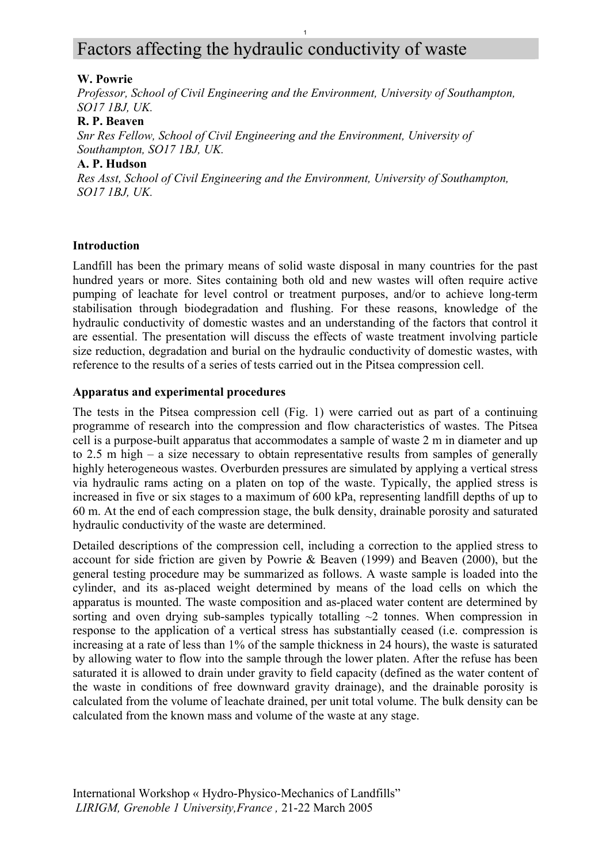# Factors affecting the hydraulic conductivity of waste

#### **W. Powrie**

*Professor, School of Civil Engineering and the Environment, University of Southampton, SO17 1BJ, UK.* 

1

#### **R. P. Beaven**

*Snr Res Fellow, School of Civil Engineering and the Environment, University of Southampton, SO17 1BJ, UK.* 

## **A. P. Hudson**

*Res Asst, School of Civil Engineering and the Environment, University of Southampton, SO17 1BJ, UK.* 

#### **Introduction**

Landfill has been the primary means of solid waste disposal in many countries for the past hundred years or more. Sites containing both old and new wastes will often require active pumping of leachate for level control or treatment purposes, and/or to achieve long-term stabilisation through biodegradation and flushing. For these reasons, knowledge of the hydraulic conductivity of domestic wastes and an understanding of the factors that control it are essential. The presentation will discuss the effects of waste treatment involving particle size reduction, degradation and burial on the hydraulic conductivity of domestic wastes, with reference to the results of a series of tests carried out in the Pitsea compression cell.

#### **Apparatus and experimental procedures**

The tests in the Pitsea compression cell (Fig. 1) were carried out as part of a continuing programme of research into the compression and flow characteristics of wastes. The Pitsea cell is a purpose-built apparatus that accommodates a sample of waste 2 m in diameter and up to 2.5 m high – a size necessary to obtain representative results from samples of generally highly heterogeneous wastes. Overburden pressures are simulated by applying a vertical stress via hydraulic rams acting on a platen on top of the waste. Typically, the applied stress is increased in five or six stages to a maximum of 600 kPa, representing landfill depths of up to 60 m. At the end of each compression stage, the bulk density, drainable porosity and saturated hydraulic conductivity of the waste are determined.

Detailed descriptions of the compression cell, including a correction to the applied stress to account for side friction are given by Powrie & Beaven (1999) and Beaven (2000), but the general testing procedure may be summarized as follows. A waste sample is loaded into the cylinder, and its as-placed weight determined by means of the load cells on which the apparatus is mounted. The waste composition and as-placed water content are determined by sorting and oven drying sub-samples typically totalling  $\sim$ 2 tonnes. When compression in response to the application of a vertical stress has substantially ceased (i.e. compression is increasing at a rate of less than 1% of the sample thickness in 24 hours), the waste is saturated by allowing water to flow into the sample through the lower platen. After the refuse has been saturated it is allowed to drain under gravity to field capacity (defined as the water content of the waste in conditions of free downward gravity drainage), and the drainable porosity is calculated from the volume of leachate drained, per unit total volume. The bulk density can be calculated from the known mass and volume of the waste at any stage.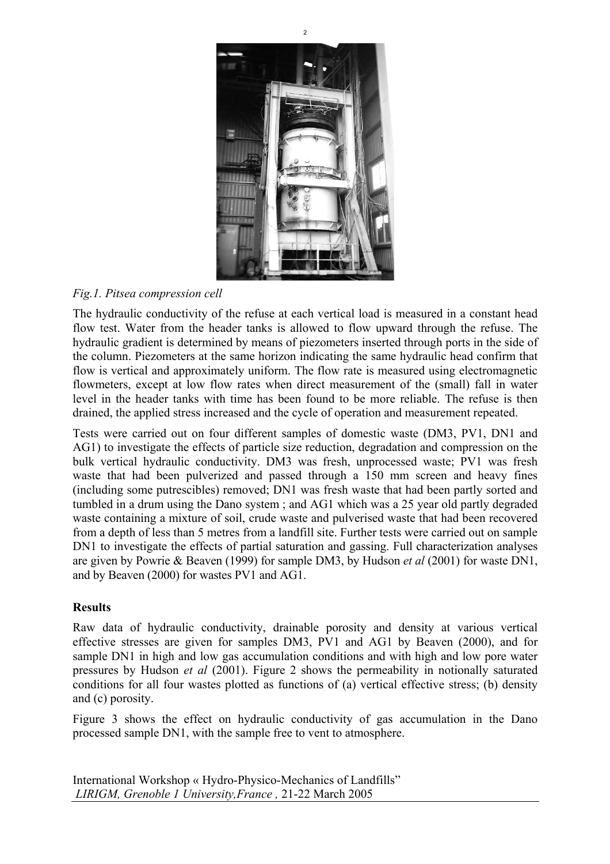

 $\overline{2}$ 

# *Fig.1. Pitsea compression cell*

The hydraulic conductivity of the refuse at each vertical load is measured in a constant head flow test. Water from the header tanks is allowed to flow upward through the refuse. The hydraulic gradient is determined by means of piezometers inserted through ports in the side of the column. Piezometers at the same horizon indicating the same hydraulic head confirm that flow is vertical and approximately uniform. The flow rate is measured using electromagnetic flowmeters, except at low flow rates when direct measurement of the (small) fall in water level in the header tanks with time has been found to be more reliable. The refuse is then drained, the applied stress increased and the cycle of operation and measurement repeated.

Tests were carried out on four different samples of domestic waste (DM3, PV1, DN1 and AG1) to investigate the effects of particle size reduction, degradation and compression on the bulk vertical hydraulic conductivity. DM3 was fresh, unprocessed waste; PV1 was fresh waste that had been pulverized and passed through a 150 mm screen and heavy fines (including some putrescibles) removed; DN1 was fresh waste that had been partly sorted and tumbled in a drum using the Dano system ; and AG1 which was a 25 year old partly degraded waste containing a mixture of soil, crude waste and pulverised waste that had been recovered from a depth of less than 5 metres from a landfill site. Further tests were carried out on sample DN1 to investigate the effects of partial saturation and gassing. Full characterization analyses are given by Powrie & Beaven (1999) for sample DM3, by Hudson *et al* (2001) for waste DN1, and by Beaven (2000) for wastes PV1 and AG1.

## **Results**

Raw data of hydraulic conductivity, drainable porosity and density at various vertical effective stresses are given for samples DM3, PV1 and AG1 by Beaven (2000), and for sample DN1 in high and low gas accumulation conditions and with high and low pore water pressures by Hudson *et al* (2001). Figure 2 shows the permeability in notionally saturated conditions for all four wastes plotted as functions of (a) vertical effective stress; (b) density and (c) porosity.

Figure 3 shows the effect on hydraulic conductivity of gas accumulation in the Dano processed sample DN1, with the sample free to vent to atmosphere.

International Workshop « Hydro-Physico-Mechanics of Landfills" *LIRIGM, Grenoble 1 University,France ,* 21-22 March 2005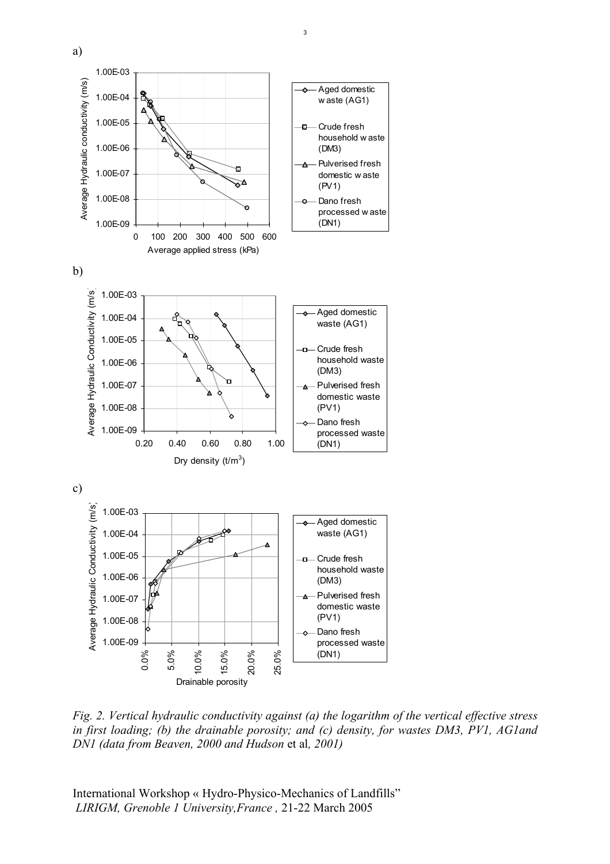

*Fig. 2. Vertical hydraulic conductivity against (a) the logarithm of the vertical effective stress in first loading; (b) the drainable porosity; and (c) density, for wastes DM3, PV1, AG1and DN1 (data from Beaven, 2000 and Hudson* et al*, 2001)* 

International Workshop « Hydro-Physico-Mechanics of Landfills" *LIRIGM, Grenoble 1 University,France ,* 21-22 March 2005

a)